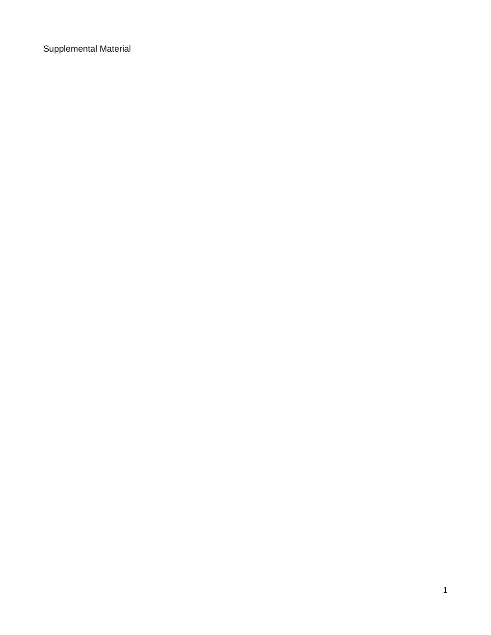Supplemental Material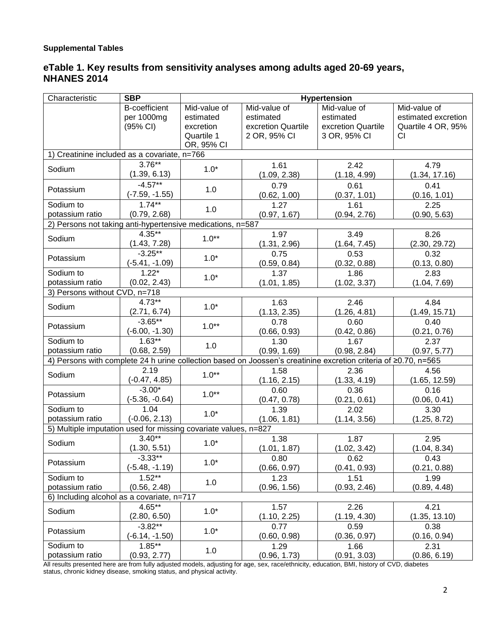## **eTable 1. Key results from sensitivity analyses among adults aged 20-69 years, NHANES 2014**

| Characteristic                                                                                                  | <b>SBP</b>           | Hypertension |                    |                    |                     |  |
|-----------------------------------------------------------------------------------------------------------------|----------------------|--------------|--------------------|--------------------|---------------------|--|
|                                                                                                                 | <b>B-coefficient</b> | Mid-value of | Mid-value of       | Mid-value of       | Mid-value of        |  |
|                                                                                                                 | per 1000mg           | estimated    | estimated          | estimated          | estimated excretion |  |
|                                                                                                                 | (95% CI)             | excretion    | excretion Quartile | excretion Quartile | Quartile 4 OR, 95%  |  |
|                                                                                                                 |                      | Quartile 1   | 2 OR, 95% CI       | 3 OR, 95% CI       | CI                  |  |
|                                                                                                                 |                      | OR, 95% CI   |                    |                    |                     |  |
| 1) Creatinine included as a covariate, n=766                                                                    |                      |              |                    |                    |                     |  |
| Sodium                                                                                                          | $3.76***$            | $1.0*$       | 1.61               | 2.42               | 4.79                |  |
|                                                                                                                 | (1.39, 6.13)         |              | (1.09, 2.38)       | (1.18, 4.99)       | (1.34, 17.16)       |  |
| Potassium                                                                                                       | $-4.57**$            | 1.0          | 0.79               | 0.61               | 0.41                |  |
|                                                                                                                 | (-7.59, -1.55)       |              | (0.62, 1.00)       | (0.37, 1.01)       | (0.16, 1.01)        |  |
| Sodium to                                                                                                       | $1.74***$            |              | 1.27               | 1.61               | 2.25                |  |
| potassium ratio                                                                                                 | (0.79, 2.68)         | 1.0          | (0.97, 1.67)       | (0.94, 2.76)       | (0.90, 5.63)        |  |
| 2) Persons not taking anti-hypertensive medications, n=587                                                      |                      |              |                    |                    |                     |  |
| Sodium                                                                                                          | $4.35**$             | $1.0**$      | 1.97               | 3.49               | 8.26                |  |
|                                                                                                                 | (1.43, 7.28)         |              | (1.31, 2.96)       | (1.64, 7.45)       | (2.30, 29.72)       |  |
|                                                                                                                 | $-3.25***$           | $1.0*$       | 0.75               | 0.53               | 0.32                |  |
| Potassium                                                                                                       | (-5.41, -1.09)       |              | (0.59, 0.84)       | (0.32, 0.88)       | (0.13, 0.80)        |  |
| Sodium to                                                                                                       | $1.22*$              | $1.0*$       | 1.37               | 1.86               | 2.83                |  |
| potassium ratio                                                                                                 | (0.02, 2.43)         |              | (1.01, 1.85)       | (1.02, 3.37)       | (1.04, 7.69)        |  |
| 3) Persons without CVD, n=718                                                                                   |                      |              |                    |                    |                     |  |
| Sodium                                                                                                          | $4.73**$             | $1.0*$       | 1.63               | 2.46               | 4.84                |  |
|                                                                                                                 | (2.71, 6.74)         |              | (1.13, 2.35)       | (1.26, 4.81)       | (1.49, 15.71)       |  |
| Potassium                                                                                                       | $-3.65***$           | $1.0**$      | 0.78               | 0.60               | 0.40                |  |
|                                                                                                                 | $(-6.00, -1.30)$     |              | (0.66, 0.93)       | (0.42, 0.86)       | (0.21, 0.76)        |  |
| Sodium to                                                                                                       | $1.63**$             | 1.0          | 1.30               | 1.67               | 2.37                |  |
| potassium ratio                                                                                                 | (0.68, 2.59)         |              | (0.99, 1.69)       | (0.98, 2.84)       | (0.97, 5.77)        |  |
| 4) Persons with complete 24 h urine collection based on Joossen's creatinine excretion criteria of ≥0.70, n=565 |                      |              |                    |                    |                     |  |
| Sodium                                                                                                          | 2.19                 | $1.0**$      | 1.58               | 2.36               | 4.56                |  |
|                                                                                                                 | $(-0.47, 4.85)$      |              | (1.16, 2.15)       | (1.33, 4.19)       | (1.65, 12.59)       |  |
| Potassium                                                                                                       | $-3.00*$             | $1.0**$      | 0.60               | 0.36               | 0.16                |  |
|                                                                                                                 | $(-5.36, -0.64)$     |              | (0.47, 0.78)       | (0.21, 0.61)       | (0.06, 0.41)        |  |
| Sodium to                                                                                                       | 1.04                 | $1.0*$       | 1.39               | 2.02               | 3.30                |  |
| potassium ratio                                                                                                 | $(-0.06, 2.13)$      |              | (1.06, 1.81)       | (1.14, 3.56)       | (1.25, 8.72)        |  |
| 5) Multiple imputation used for missing covariate values, n=827                                                 |                      |              |                    |                    |                     |  |
| Sodium                                                                                                          | $3.40**$             | $1.0*$       | 1.38               | 1.87               | 2.95                |  |
|                                                                                                                 | (1.30, 5.51)         |              | (1.01, 1.87)       | (1.02, 3.42)       | (1.04, 8.34)        |  |
| Potassium                                                                                                       | $-3.33***$           | $1.0*$       | 0.80               | 0.62               | 0.43                |  |
|                                                                                                                 | $(-5.48, -1.19)$     |              | (0.66, 0.97)       | (0.41, 0.93)       | (0.21, 0.88)        |  |
| Sodium to                                                                                                       | $1.52**$             | 1.0          | 1.23               | 1.51               | 1.99                |  |
| potassium ratio                                                                                                 | (0.56, 2.48)         |              | (0.96, 1.56)       | (0.93, 2.46)       | (0.89, 4.48)        |  |
| 6) Including alcohol as a covariate, n=717                                                                      |                      |              |                    |                    |                     |  |
| Sodium                                                                                                          | $4.65**$             | $1.0*$       | 1.57               | 2.26               | 4.21                |  |
|                                                                                                                 | (2.80, 6.50)         |              | (1.10, 2.25)       | (1.19, 4.30)       | (1.35, 13.10)       |  |
| Potassium                                                                                                       | $-3.82**$            | $1.0*$       | 0.77               | 0.59               | 0.38                |  |
|                                                                                                                 | $(-6.14, -1.50)$     |              | (0.60, 0.98)       | (0.36, 0.97)       | (0.16, 0.94)        |  |
| Sodium to                                                                                                       | $1.85***$            | 1.0          | 1.29               | 1.66               | 2.31                |  |
| potassium ratio                                                                                                 | (0.93, 2.77)         |              | (0.96, 1.73)       | (0.91, 3.03)       | (0.86, 6.19)        |  |

All results presented here are from fully adjusted models, adjusting for age, sex, race/ethnicity, education, BMI, history of CVD, diabetes status, chronic kidney disease, smoking status, and physical activity.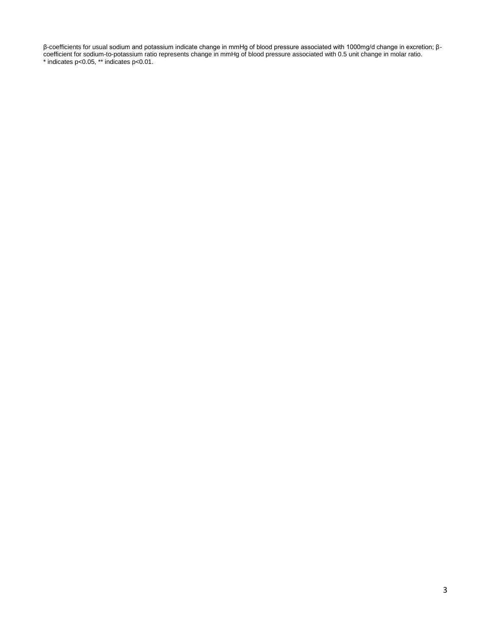β-coefficients for usual sodium and potassium indicate change in mmHg of blood pressure associated with 1000mg/d change in excretion; βcoefficient for sodium-to-potassium ratio represents change in mmHg of blood pressure associated with 0.5 unit change in molar ratio. \* indicates p<0.05, \*\* indicates p<0.01.